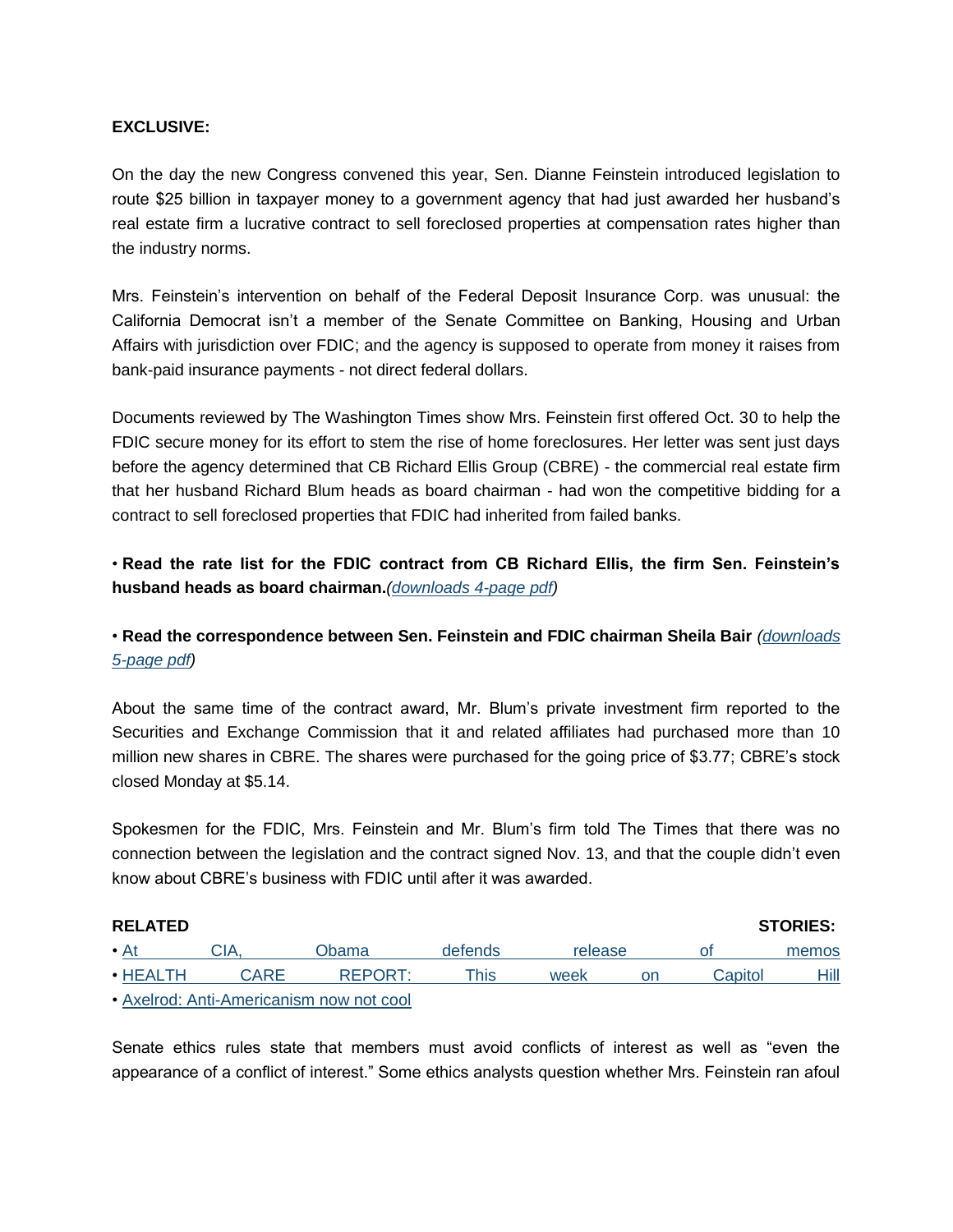### **EXCLUSIVE:**

On the day the new Congress convened this year, Sen. Dianne Feinstein introduced legislation to route \$25 billion in taxpayer money to a government agency that had just awarded her husband's real estate firm a lucrative contract to sell foreclosed properties at compensation rates higher than the industry norms.

Mrs. Feinstein's intervention on behalf of the Federal Deposit Insurance Corp. was unusual: the California Democrat isn't a member of the Senate Committee on Banking, Housing and Urban Affairs with jurisdiction over FDIC; and the agency is supposed to operate from money it raises from bank-paid insurance payments - not direct federal dollars.

Documents reviewed by The Washington Times show Mrs. Feinstein first offered Oct. 30 to help the FDIC secure money for its effort to stem the rise of home foreclosures. Her letter was sent just days before the agency determined that CB Richard Ellis Group (CBRE) - the commercial real estate firm that her husband Richard Blum heads as board chairman - had won the competitive bidding for a contract to sell foreclosed properties that FDIC had inherited from failed banks.

• **Read the rate list for the FDIC contract from CB Richard Ellis, the firm Sen. Feinstein's husband heads as board chairman.***[\(downloads 4-page pdf\)](http://video1.washingtontimes.com/video/BAFOpricingschedule.pdf)*

# • **Read the correspondence between Sen. Feinstein and FDIC chairman Sheila Bair** *[\(downloads](http://video1.washingtontimes.com/video/correspondence.pdf)  [5-page pdf\)](http://video1.washingtontimes.com/video/correspondence.pdf)*

About the same time of the contract award, Mr. Blum's private investment firm reported to the Securities and Exchange Commission that it and related affiliates had purchased more than 10 million new shares in CBRE. The shares were purchased for the going price of \$3.77; CBRE's stock closed Monday at \$5.14.

Spokesmen for the FDIC, Mrs. Feinstein and Mr. Blum's firm told The Times that there was no connection between the legislation and the contract signed Nov. 13, and that the couple didn't even know about CBRE's business with FDIC until after it was awarded.

| <b>RELATED</b> |       |                                          |         |         |    | <b>STORIES:</b> |       |
|----------------|-------|------------------------------------------|---------|---------|----|-----------------|-------|
| $\bullet$ At   | 'JIA. | Obama                                    | defends | release |    |                 | memos |
| $\cdot$ HEALTH | CARE  | REPORT <sup>.</sup>                      | This.   | week    | on | Capitol         | Hill  |
|                |       | Avaluate Anti Americanism particular and |         |         |    |                 |       |

• [Axelrod: Anti-Americanism now not cool](http://www.washingtontimes.com/news/2009/apr/20/axelrod-anti-americanism-now-not-cool/)

Senate ethics rules state that members must avoid conflicts of interest as well as "even the appearance of a conflict of interest." Some ethics analysts question whether Mrs. Feinstein ran afoul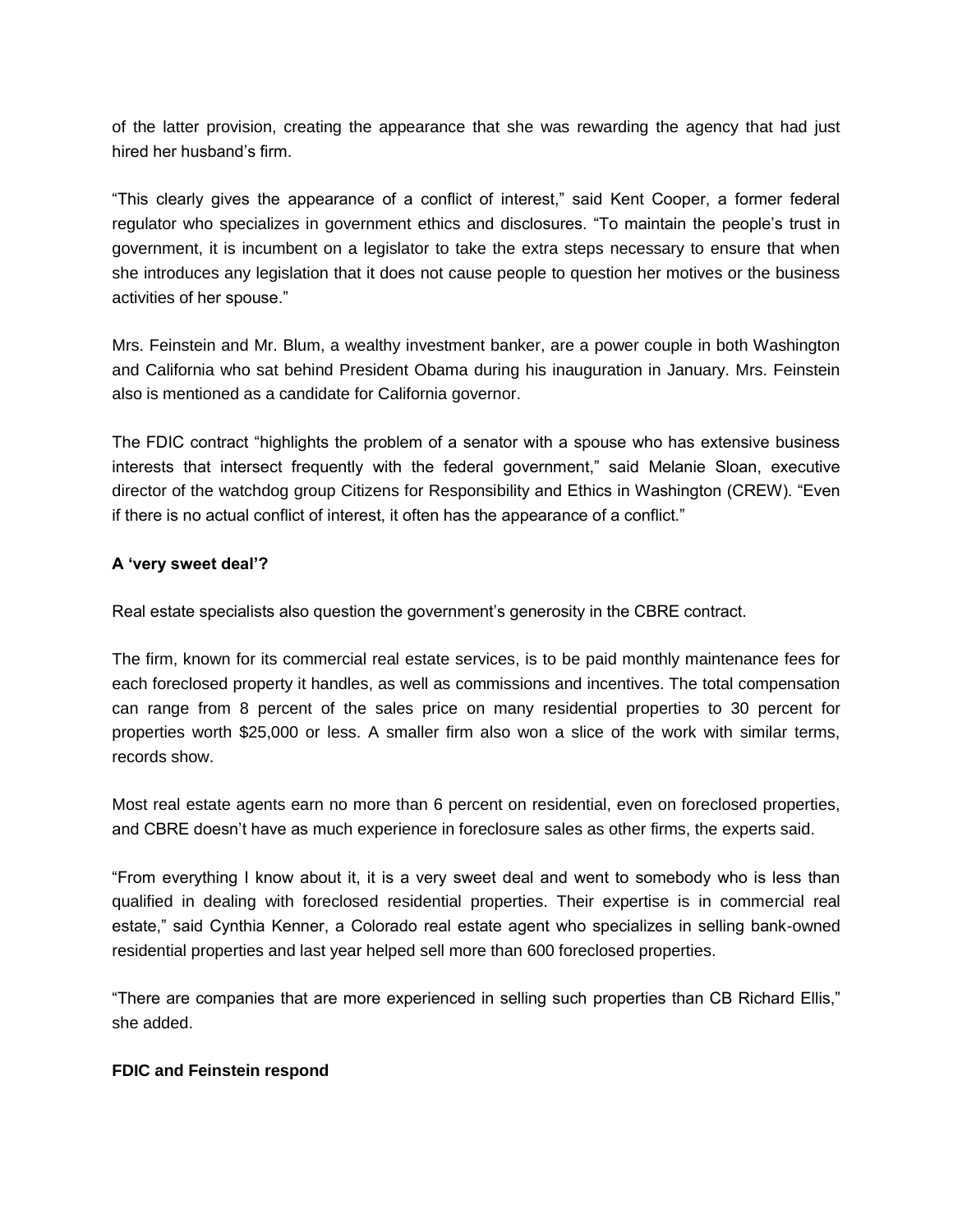of the latter provision, creating the appearance that she was rewarding the agency that had just hired her husband's firm.

"This clearly gives the appearance of a conflict of interest," said Kent Cooper, a former federal regulator who specializes in government ethics and disclosures. "To maintain the people's trust in government, it is incumbent on a legislator to take the extra steps necessary to ensure that when she introduces any legislation that it does not cause people to question her motives or the business activities of her spouse."

Mrs. Feinstein and Mr. Blum, a wealthy investment banker, are a power couple in both Washington and California who sat behind President Obama during his inauguration in January. Mrs. Feinstein also is mentioned as a candidate for California governor.

The FDIC contract "highlights the problem of a senator with a spouse who has extensive business interests that intersect frequently with the federal government," said Melanie Sloan, executive director of the watchdog group Citizens for Responsibility and Ethics in Washington (CREW). "Even if there is no actual conflict of interest, it often has the appearance of a conflict."

## **A 'very sweet deal'?**

Real estate specialists also question the government's generosity in the CBRE contract.

The firm, known for its commercial real estate services, is to be paid monthly maintenance fees for each foreclosed property it handles, as well as commissions and incentives. The total compensation can range from 8 percent of the sales price on many residential properties to 30 percent for properties worth \$25,000 or less. A smaller firm also won a slice of the work with similar terms, records show.

Most real estate agents earn no more than 6 percent on residential, even on foreclosed properties, and CBRE doesn't have as much experience in foreclosure sales as other firms, the experts said.

"From everything I know about it, it is a very sweet deal and went to somebody who is less than qualified in dealing with foreclosed residential properties. Their expertise is in commercial real estate," said Cynthia Kenner, a Colorado real estate agent who specializes in selling bank-owned residential properties and last year helped sell more than 600 foreclosed properties.

"There are companies that are more experienced in selling such properties than CB Richard Ellis," she added.

#### **FDIC and Feinstein respond**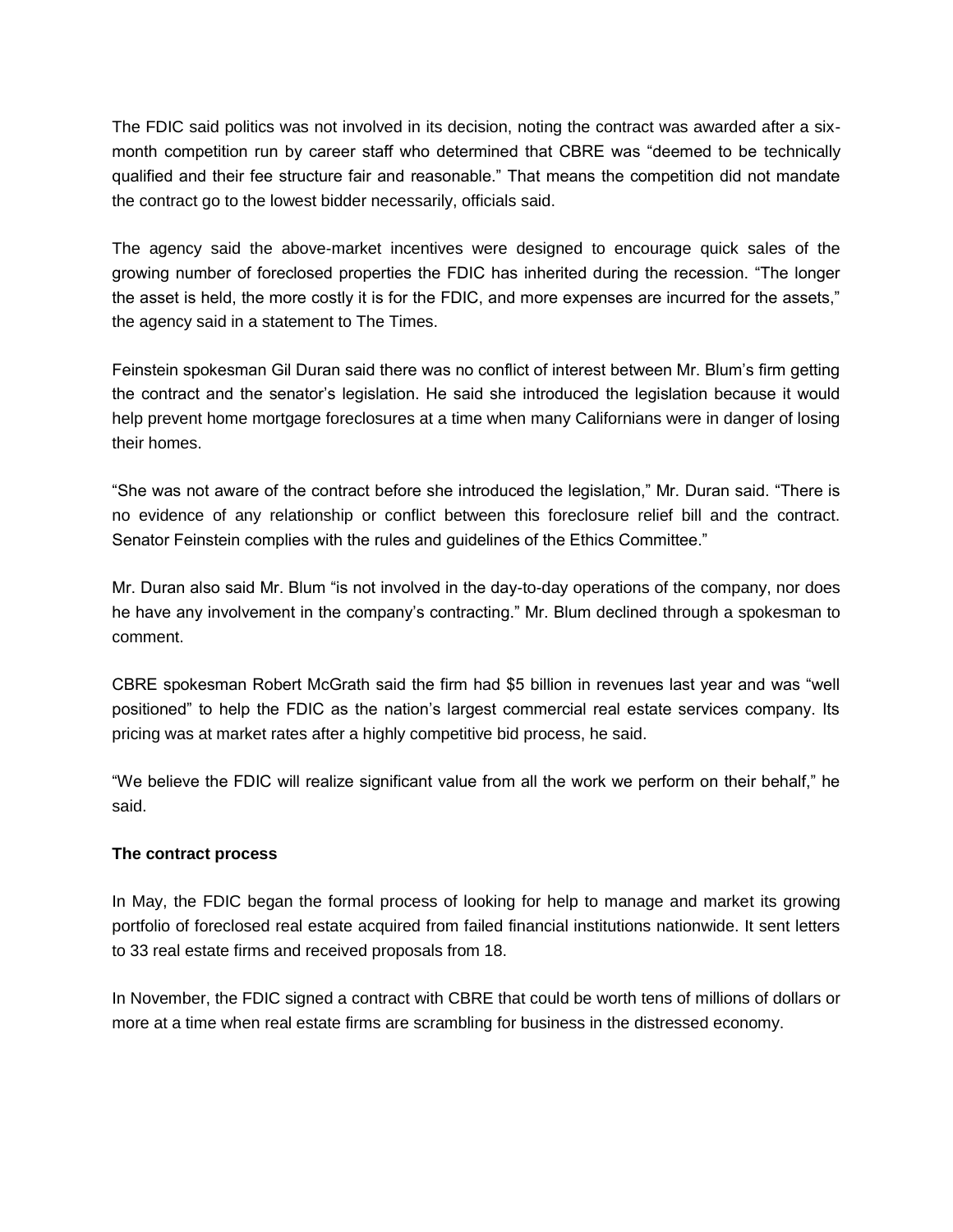The FDIC said politics was not involved in its decision, noting the contract was awarded after a sixmonth competition run by career staff who determined that CBRE was "deemed to be technically qualified and their fee structure fair and reasonable." That means the competition did not mandate the contract go to the lowest bidder necessarily, officials said.

The agency said the above-market incentives were designed to encourage quick sales of the growing number of foreclosed properties the FDIC has inherited during the recession. "The longer the asset is held, the more costly it is for the FDIC, and more expenses are incurred for the assets," the agency said in a statement to The Times.

Feinstein spokesman Gil Duran said there was no conflict of interest between Mr. Blum's firm getting the contract and the senator's legislation. He said she introduced the legislation because it would help prevent home mortgage foreclosures at a time when many Californians were in danger of losing their homes.

"She was not aware of the contract before she introduced the legislation," Mr. Duran said. "There is no evidence of any relationship or conflict between this foreclosure relief bill and the contract. Senator Feinstein complies with the rules and guidelines of the Ethics Committee."

Mr. Duran also said Mr. Blum "is not involved in the day-to-day operations of the company, nor does he have any involvement in the company's contracting." Mr. Blum declined through a spokesman to comment.

CBRE spokesman Robert McGrath said the firm had \$5 billion in revenues last year and was "well positioned" to help the FDIC as the nation's largest commercial real estate services company. Its pricing was at market rates after a highly competitive bid process, he said.

"We believe the FDIC will realize significant value from all the work we perform on their behalf," he said.

#### **The contract process**

In May, the FDIC began the formal process of looking for help to manage and market its growing portfolio of foreclosed real estate acquired from failed financial institutions nationwide. It sent letters to 33 real estate firms and received proposals from 18.

In November, the FDIC signed a contract with CBRE that could be worth tens of millions of dollars or more at a time when real estate firms are scrambling for business in the distressed economy.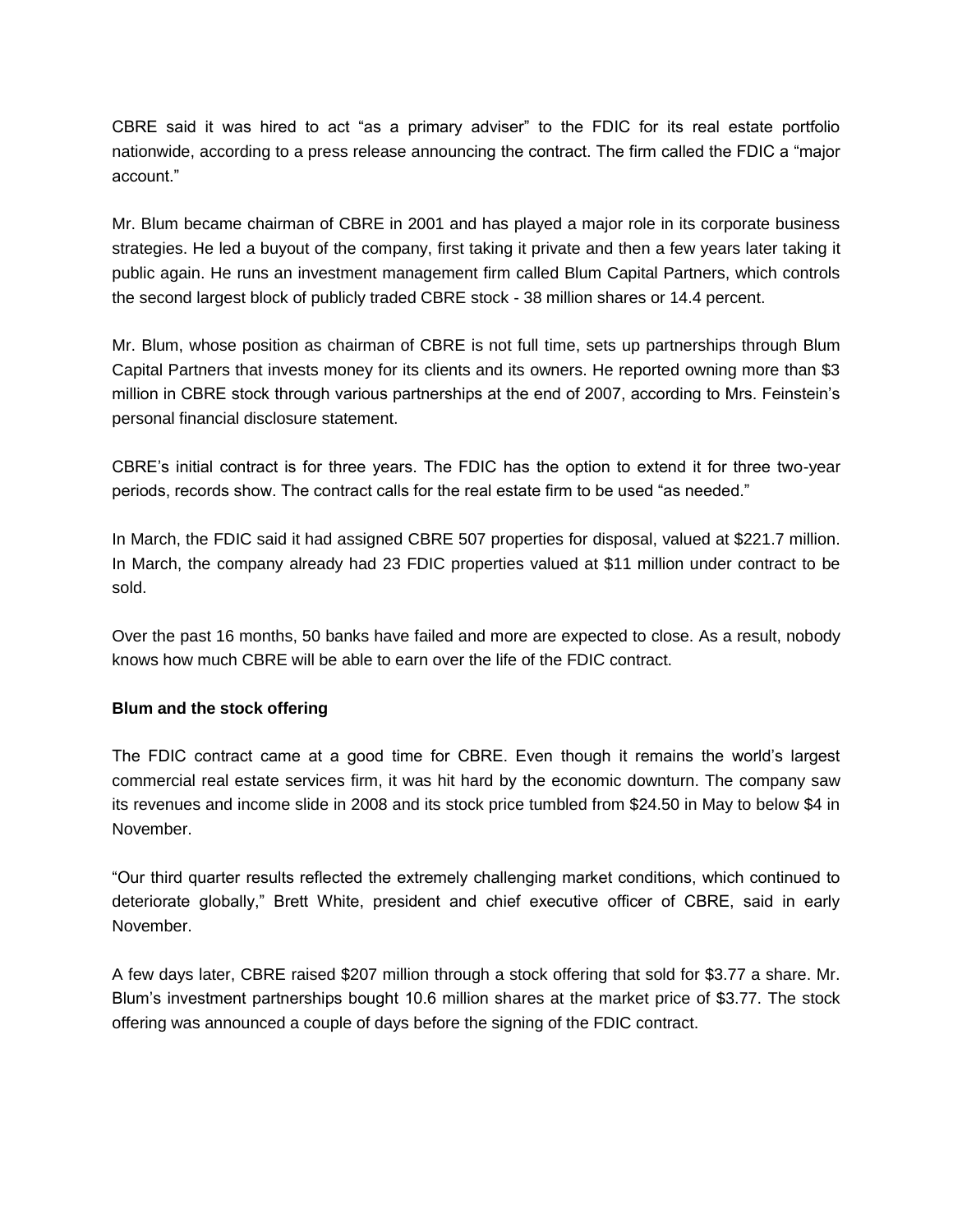CBRE said it was hired to act "as a primary adviser" to the FDIC for its real estate portfolio nationwide, according to a press release announcing the contract. The firm called the FDIC a "major account."

Mr. Blum became chairman of CBRE in 2001 and has played a major role in its corporate business strategies. He led a buyout of the company, first taking it private and then a few years later taking it public again. He runs an investment management firm called Blum Capital Partners, which controls the second largest block of publicly traded CBRE stock - 38 million shares or 14.4 percent.

Mr. Blum, whose position as chairman of CBRE is not full time, sets up partnerships through Blum Capital Partners that invests money for its clients and its owners. He reported owning more than \$3 million in CBRE stock through various partnerships at the end of 2007, according to Mrs. Feinstein's personal financial disclosure statement.

CBRE's initial contract is for three years. The FDIC has the option to extend it for three two-year periods, records show. The contract calls for the real estate firm to be used "as needed."

In March, the FDIC said it had assigned CBRE 507 properties for disposal, valued at \$221.7 million. In March, the company already had 23 FDIC properties valued at \$11 million under contract to be sold.

Over the past 16 months, 50 banks have failed and more are expected to close. As a result, nobody knows how much CBRE will be able to earn over the life of the FDIC contract.

#### **Blum and the stock offering**

The FDIC contract came at a good time for CBRE. Even though it remains the world's largest commercial real estate services firm, it was hit hard by the economic downturn. The company saw its revenues and income slide in 2008 and its stock price tumbled from \$24.50 in May to below \$4 in November.

"Our third quarter results reflected the extremely challenging market conditions, which continued to deteriorate globally," Brett White, president and chief executive officer of CBRE, said in early November.

A few days later, CBRE raised \$207 million through a stock offering that sold for \$3.77 a share. Mr. Blum's investment partnerships bought 10.6 million shares at the market price of \$3.77. The stock offering was announced a couple of days before the signing of the FDIC contract.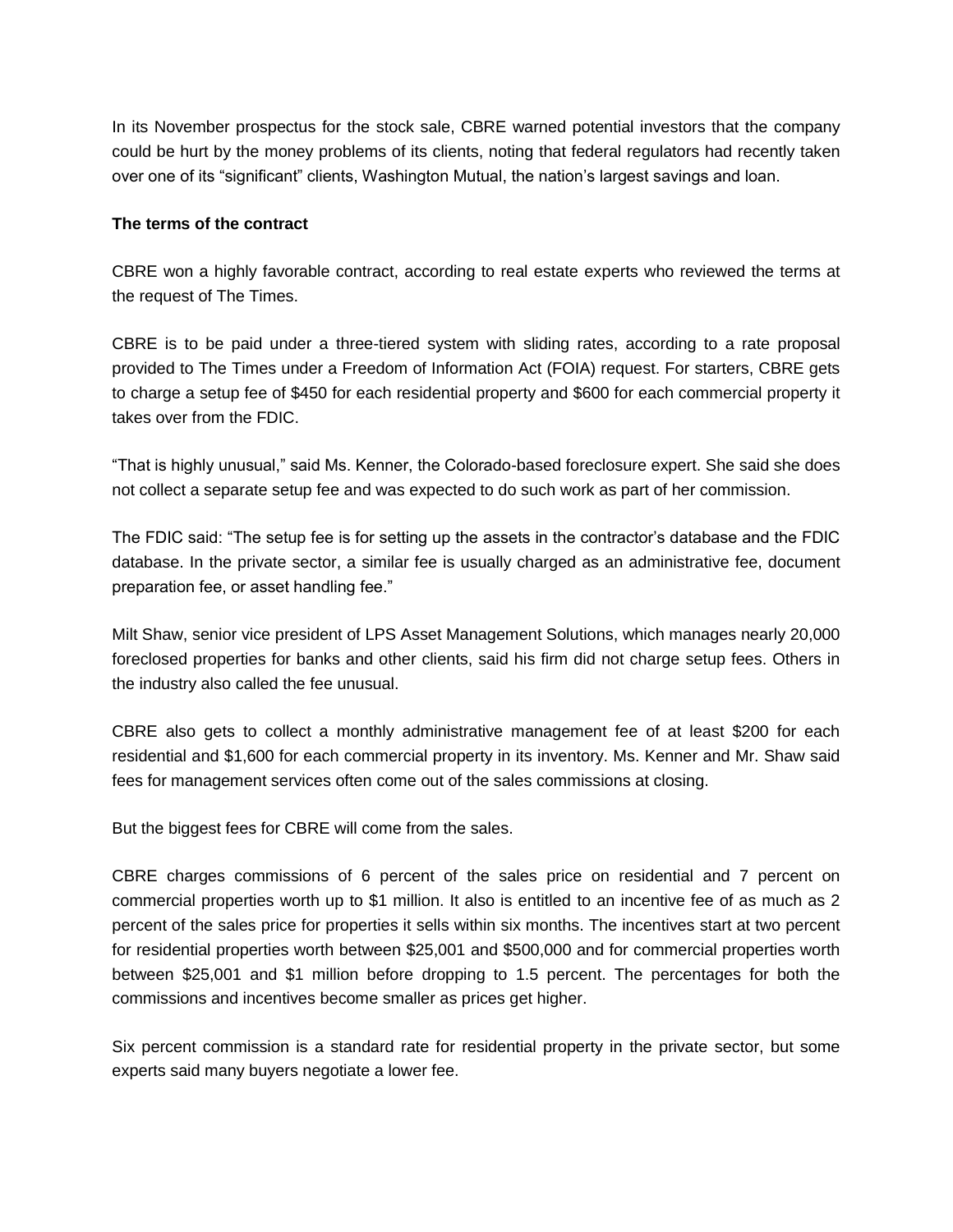In its November prospectus for the stock sale, CBRE warned potential investors that the company could be hurt by the money problems of its clients, noting that federal regulators had recently taken over one of its "significant" clients, Washington Mutual, the nation's largest savings and loan.

#### **The terms of the contract**

CBRE won a highly favorable contract, according to real estate experts who reviewed the terms at the request of The Times.

CBRE is to be paid under a three-tiered system with sliding rates, according to a rate proposal provided to The Times under a Freedom of Information Act (FOIA) request. For starters, CBRE gets to charge a setup fee of \$450 for each residential property and \$600 for each commercial property it takes over from the FDIC.

"That is highly unusual," said Ms. Kenner, the Colorado-based foreclosure expert. She said she does not collect a separate setup fee and was expected to do such work as part of her commission.

The FDIC said: "The setup fee is for setting up the assets in the contractor's database and the FDIC database. In the private sector, a similar fee is usually charged as an administrative fee, document preparation fee, or asset handling fee."

Milt Shaw, senior vice president of LPS Asset Management Solutions, which manages nearly 20,000 foreclosed properties for banks and other clients, said his firm did not charge setup fees. Others in the industry also called the fee unusual.

CBRE also gets to collect a monthly administrative management fee of at least \$200 for each residential and \$1,600 for each commercial property in its inventory. Ms. Kenner and Mr. Shaw said fees for management services often come out of the sales commissions at closing.

But the biggest fees for CBRE will come from the sales.

CBRE charges commissions of 6 percent of the sales price on residential and 7 percent on commercial properties worth up to \$1 million. It also is entitled to an incentive fee of as much as 2 percent of the sales price for properties it sells within six months. The incentives start at two percent for residential properties worth between \$25,001 and \$500,000 and for commercial properties worth between \$25,001 and \$1 million before dropping to 1.5 percent. The percentages for both the commissions and incentives become smaller as prices get higher.

Six percent commission is a standard rate for residential property in the private sector, but some experts said many buyers negotiate a lower fee.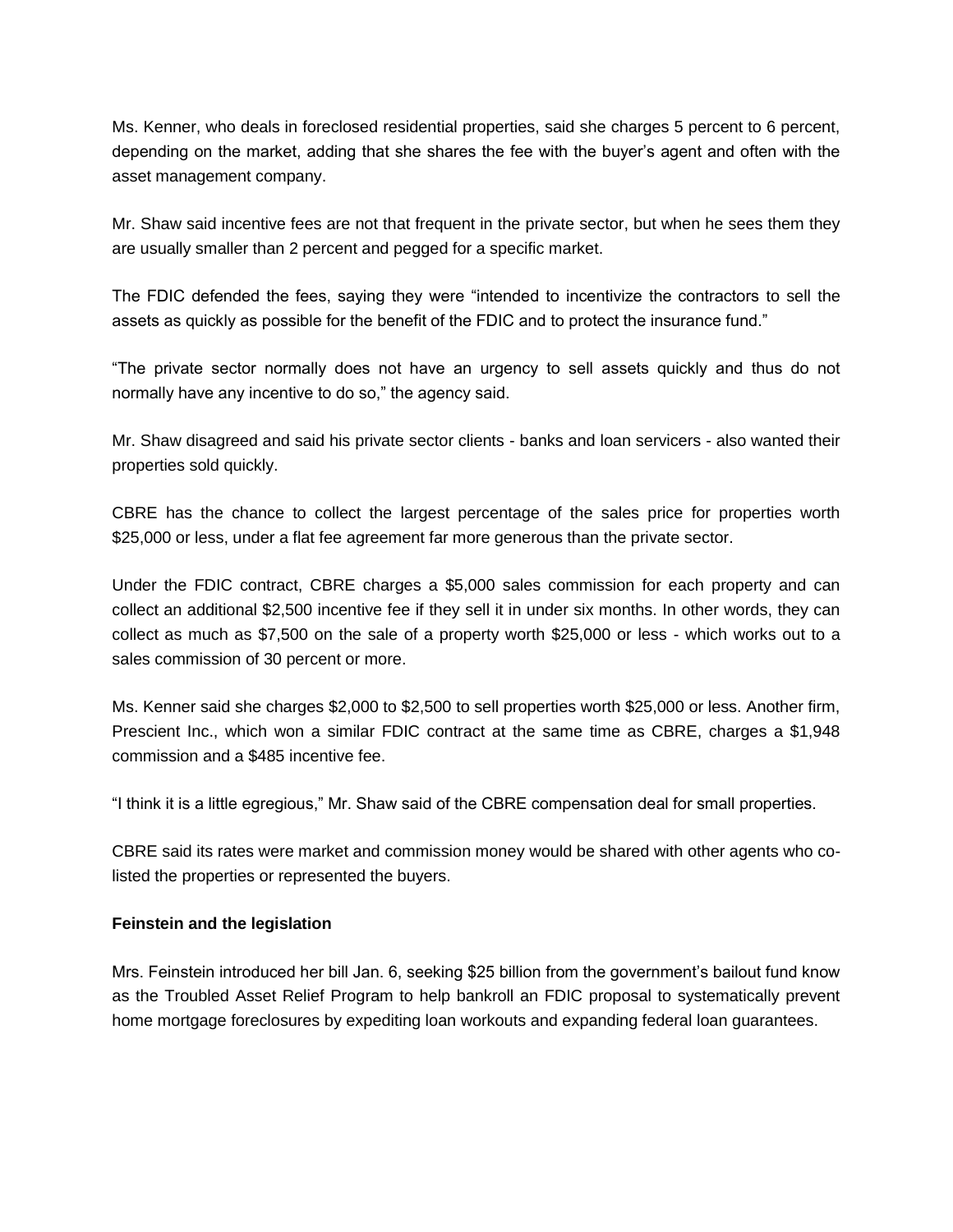Ms. Kenner, who deals in foreclosed residential properties, said she charges 5 percent to 6 percent, depending on the market, adding that she shares the fee with the buyer's agent and often with the asset management company.

Mr. Shaw said incentive fees are not that frequent in the private sector, but when he sees them they are usually smaller than 2 percent and pegged for a specific market.

The FDIC defended the fees, saying they were "intended to incentivize the contractors to sell the assets as quickly as possible for the benefit of the FDIC and to protect the insurance fund."

"The private sector normally does not have an urgency to sell assets quickly and thus do not normally have any incentive to do so," the agency said.

Mr. Shaw disagreed and said his private sector clients - banks and loan servicers - also wanted their properties sold quickly.

CBRE has the chance to collect the largest percentage of the sales price for properties worth \$25,000 or less, under a flat fee agreement far more generous than the private sector.

Under the FDIC contract, CBRE charges a \$5,000 sales commission for each property and can collect an additional \$2,500 incentive fee if they sell it in under six months. In other words, they can collect as much as \$7,500 on the sale of a property worth \$25,000 or less - which works out to a sales commission of 30 percent or more.

Ms. Kenner said she charges \$2,000 to \$2,500 to sell properties worth \$25,000 or less. Another firm, Prescient Inc., which won a similar FDIC contract at the same time as CBRE, charges a \$1,948 commission and a \$485 incentive fee.

"I think it is a little egregious," Mr. Shaw said of the CBRE compensation deal for small properties.

CBRE said its rates were market and commission money would be shared with other agents who colisted the properties or represented the buyers.

#### **Feinstein and the legislation**

Mrs. Feinstein introduced her bill Jan. 6, seeking \$25 billion from the government's bailout fund know as the Troubled Asset Relief Program to help bankroll an FDIC proposal to systematically prevent home mortgage foreclosures by expediting loan workouts and expanding federal loan guarantees.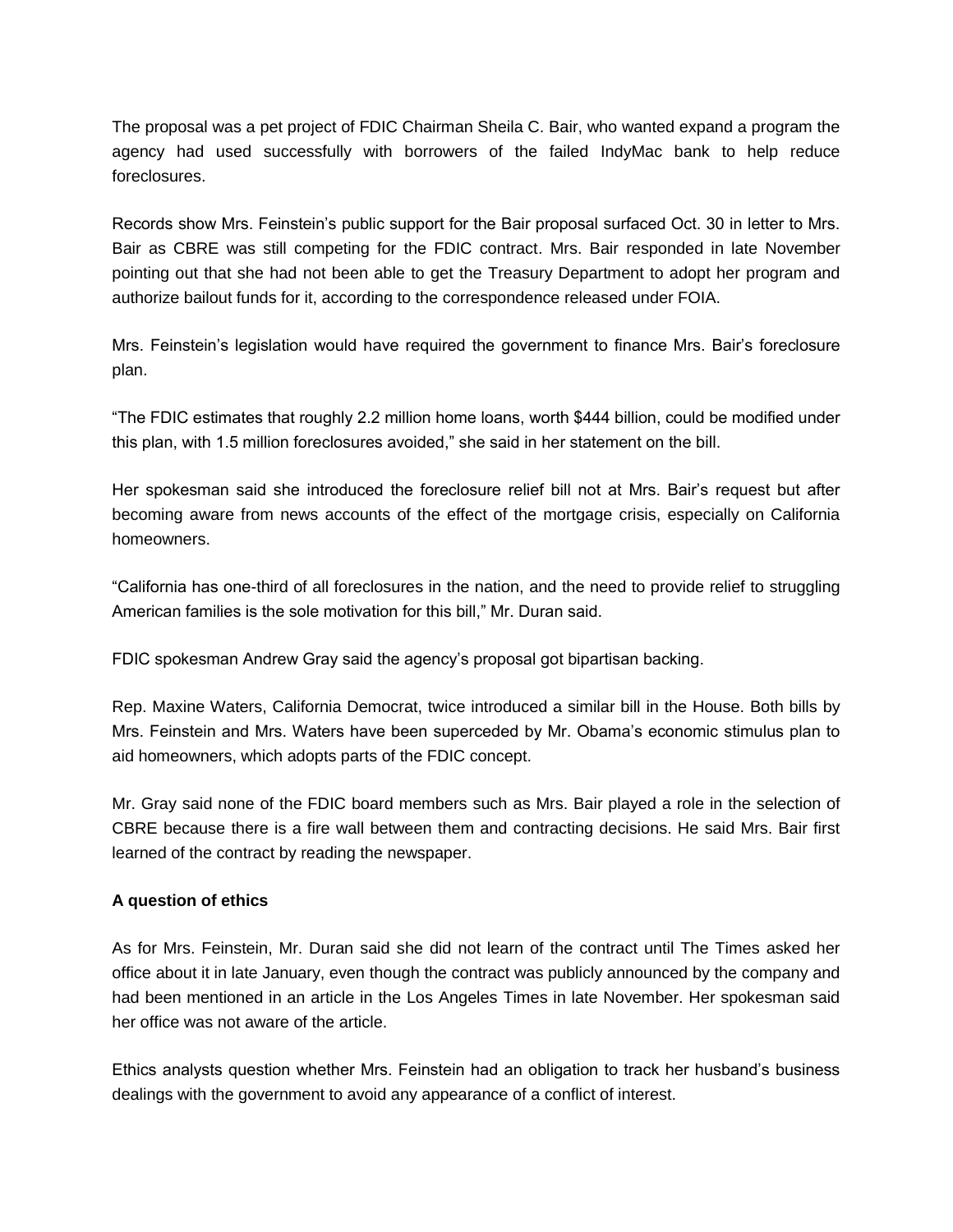The proposal was a pet project of FDIC Chairman Sheila C. Bair, who wanted expand a program the agency had used successfully with borrowers of the failed IndyMac bank to help reduce foreclosures.

Records show Mrs. Feinstein's public support for the Bair proposal surfaced Oct. 30 in letter to Mrs. Bair as CBRE was still competing for the FDIC contract. Mrs. Bair responded in late November pointing out that she had not been able to get the Treasury Department to adopt her program and authorize bailout funds for it, according to the correspondence released under FOIA.

Mrs. Feinstein's legislation would have required the government to finance Mrs. Bair's foreclosure plan.

"The FDIC estimates that roughly 2.2 million home loans, worth \$444 billion, could be modified under this plan, with 1.5 million foreclosures avoided," she said in her statement on the bill.

Her spokesman said she introduced the foreclosure relief bill not at Mrs. Bair's request but after becoming aware from news accounts of the effect of the mortgage crisis, especially on California homeowners.

"California has one-third of all foreclosures in the nation, and the need to provide relief to struggling American families is the sole motivation for this bill," Mr. Duran said.

FDIC spokesman Andrew Gray said the agency's proposal got bipartisan backing.

Rep. Maxine Waters, California Democrat, twice introduced a similar bill in the House. Both bills by Mrs. Feinstein and Mrs. Waters have been superceded by Mr. Obama's economic stimulus plan to aid homeowners, which adopts parts of the FDIC concept.

Mr. Gray said none of the FDIC board members such as Mrs. Bair played a role in the selection of CBRE because there is a fire wall between them and contracting decisions. He said Mrs. Bair first learned of the contract by reading the newspaper.

#### **A question of ethics**

As for Mrs. Feinstein, Mr. Duran said she did not learn of the contract until The Times asked her office about it in late January, even though the contract was publicly announced by the company and had been mentioned in an article in the Los Angeles Times in late November. Her spokesman said her office was not aware of the article.

Ethics analysts question whether Mrs. Feinstein had an obligation to track her husband's business dealings with the government to avoid any appearance of a conflict of interest.